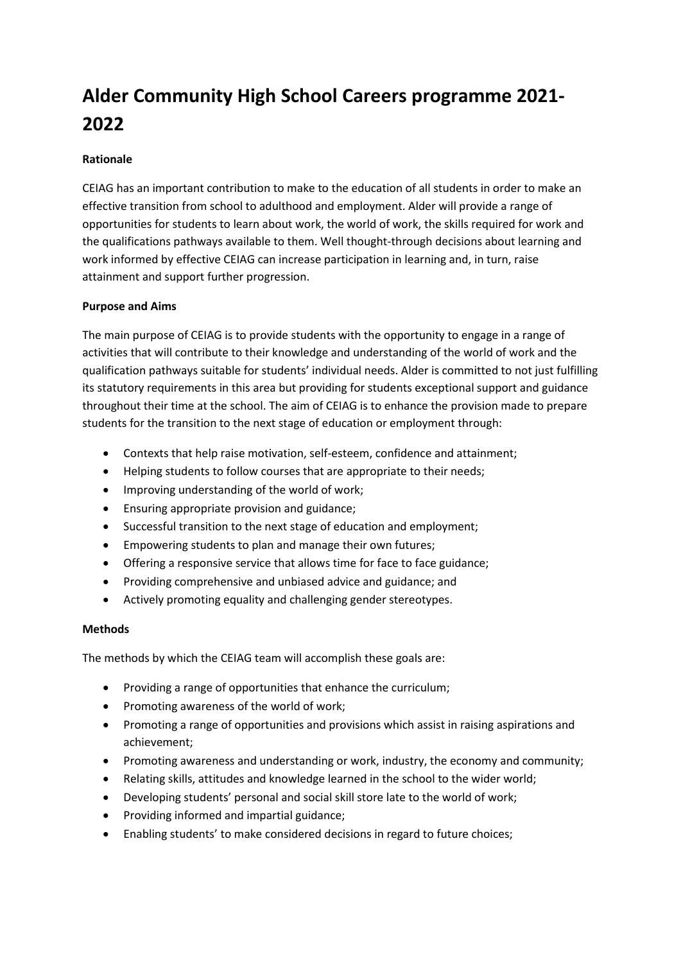# **Alder Community High School Careers programme 2021- 2022**

## **Rationale**

CEIAG has an important contribution to make to the education of all students in order to make an effective transition from school to adulthood and employment. Alder will provide a range of opportunities for students to learn about work, the world of work, the skills required for work and the qualifications pathways available to them. Well thought-through decisions about learning and work informed by effective CEIAG can increase participation in learning and, in turn, raise attainment and support further progression.

### **Purpose and Aims**

The main purpose of CEIAG is to provide students with the opportunity to engage in a range of activities that will contribute to their knowledge and understanding of the world of work and the qualification pathways suitable for students' individual needs. Alder is committed to not just fulfilling its statutory requirements in this area but providing for students exceptional support and guidance throughout their time at the school. The aim of CEIAG is to enhance the provision made to prepare students for the transition to the next stage of education or employment through:

- Contexts that help raise motivation, self-esteem, confidence and attainment;
- Helping students to follow courses that are appropriate to their needs;
- Improving understanding of the world of work;
- Ensuring appropriate provision and guidance;
- Successful transition to the next stage of education and employment;
- Empowering students to plan and manage their own futures;
- Offering a responsive service that allows time for face to face guidance;
- Providing comprehensive and unbiased advice and guidance; and
- Actively promoting equality and challenging gender stereotypes.

### **Methods**

The methods by which the CEIAG team will accomplish these goals are:

- Providing a range of opportunities that enhance the curriculum;
- Promoting awareness of the world of work;
- Promoting a range of opportunities and provisions which assist in raising aspirations and achievement;
- Promoting awareness and understanding or work, industry, the economy and community;
- Relating skills, attitudes and knowledge learned in the school to the wider world;
- Developing students' personal and social skill store late to the world of work;
- Providing informed and impartial guidance;
- Enabling students' to make considered decisions in regard to future choices;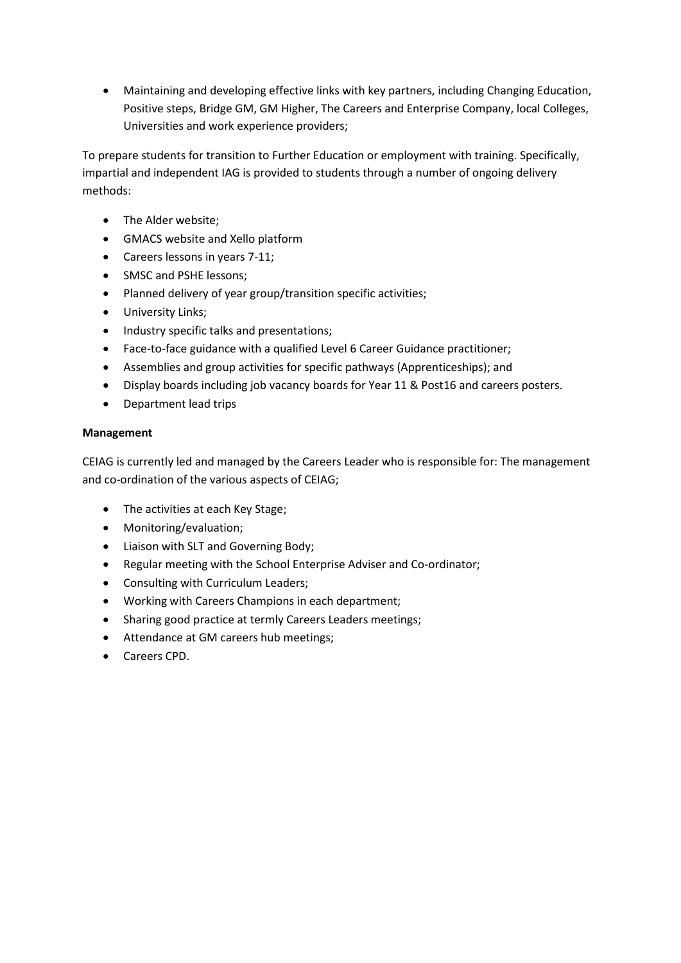• Maintaining and developing effective links with key partners, including Changing Education, Positive steps, Bridge GM, GM Higher, The Careers and Enterprise Company, local Colleges, Universities and work experience providers;

To prepare students for transition to Further Education or employment with training. Specifically, impartial and independent IAG is provided to students through a number of ongoing delivery methods:

- The Alder website;
- GMACS website and Xello platform
- Careers lessons in years 7-11;
- SMSC and PSHE lessons;
- Planned delivery of year group/transition specific activities;
- University Links;
- Industry specific talks and presentations;
- Face-to-face guidance with a qualified Level 6 Career Guidance practitioner;
- Assemblies and group activities for specific pathways (Apprenticeships); and
- Display boards including job vacancy boards for Year 11 & Post16 and careers posters.
- Department lead trips

#### **Management**

CEIAG is currently led and managed by the Careers Leader who is responsible for: The management and co-ordination of the various aspects of CEIAG;

- The activities at each Key Stage;
- Monitoring/evaluation;
- Liaison with SLT and Governing Body;
- Regular meeting with the School Enterprise Adviser and Co-ordinator;
- Consulting with Curriculum Leaders;
- Working with Careers Champions in each department;
- Sharing good practice at termly Careers Leaders meetings;
- Attendance at GM careers hub meetings;
- Careers CPD.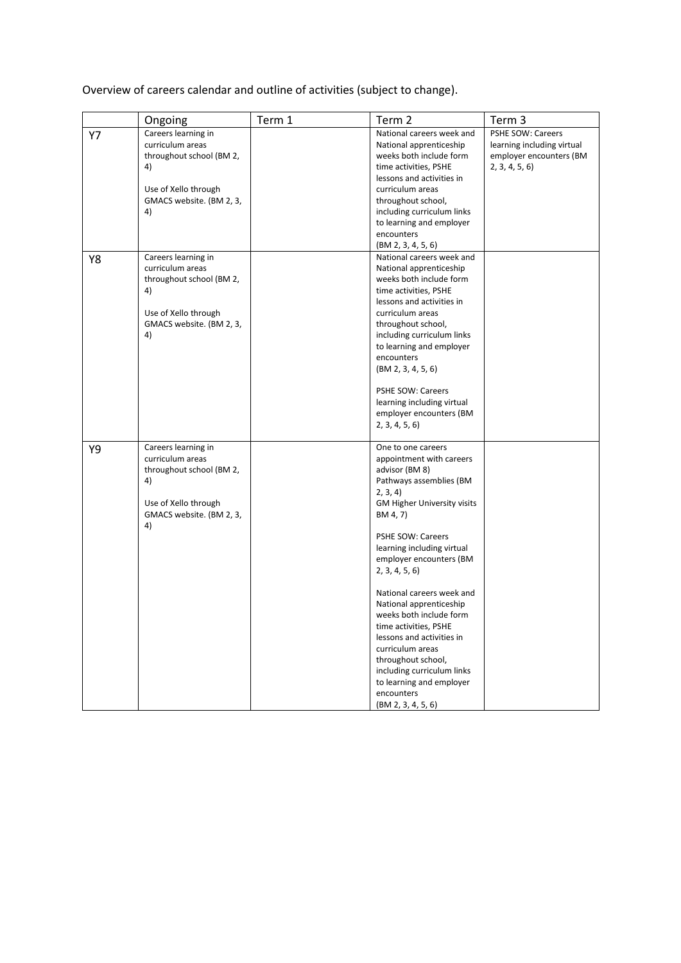Overview of careers calendar and outline of activities (subject to change).

|    | Ongoing                                                                                                                             | Term 1 | Term 2                                                                                                                                                                                                                                                                                                                                                                                                                                                                                                                                    | Term 3                                                                                      |
|----|-------------------------------------------------------------------------------------------------------------------------------------|--------|-------------------------------------------------------------------------------------------------------------------------------------------------------------------------------------------------------------------------------------------------------------------------------------------------------------------------------------------------------------------------------------------------------------------------------------------------------------------------------------------------------------------------------------------|---------------------------------------------------------------------------------------------|
| Y7 | Careers learning in<br>curriculum areas<br>throughout school (BM 2,<br>4)<br>Use of Xello through<br>GMACS website. (BM 2, 3,<br>4) |        | National careers week and<br>National apprenticeship<br>weeks both include form<br>time activities, PSHE<br>lessons and activities in<br>curriculum areas<br>throughout school,<br>including curriculum links<br>to learning and employer<br>encounters<br>(BM 2, 3, 4, 5, 6)                                                                                                                                                                                                                                                             | PSHE SOW: Careers<br>learning including virtual<br>employer encounters (BM<br>2, 3, 4, 5, 6 |
| Y8 | Careers learning in<br>curriculum areas<br>throughout school (BM 2,<br>4)<br>Use of Xello through<br>GMACS website. (BM 2, 3,<br>4) |        | National careers week and<br>National apprenticeship<br>weeks both include form<br>time activities, PSHE<br>lessons and activities in<br>curriculum areas<br>throughout school,<br>including curriculum links<br>to learning and employer<br>encounters<br>(BM 2, 3, 4, 5, 6)<br>PSHE SOW: Careers<br>learning including virtual<br>employer encounters (BM<br>2, 3, 4, 5, 6                                                                                                                                                              |                                                                                             |
| Υ9 | Careers learning in<br>curriculum areas<br>throughout school (BM 2,<br>4)<br>Use of Xello through<br>GMACS website. (BM 2, 3,<br>4) |        | One to one careers<br>appointment with careers<br>advisor (BM 8)<br>Pathways assemblies (BM<br>2, 3, 4)<br>GM Higher University visits<br>BM 4, 7)<br><b>PSHE SOW: Careers</b><br>learning including virtual<br>employer encounters (BM<br>2, 3, 4, 5, 6<br>National careers week and<br>National apprenticeship<br>weeks both include form<br>time activities, PSHE<br>lessons and activities in<br>curriculum areas<br>throughout school,<br>including curriculum links<br>to learning and employer<br>encounters<br>(BM 2, 3, 4, 5, 6) |                                                                                             |